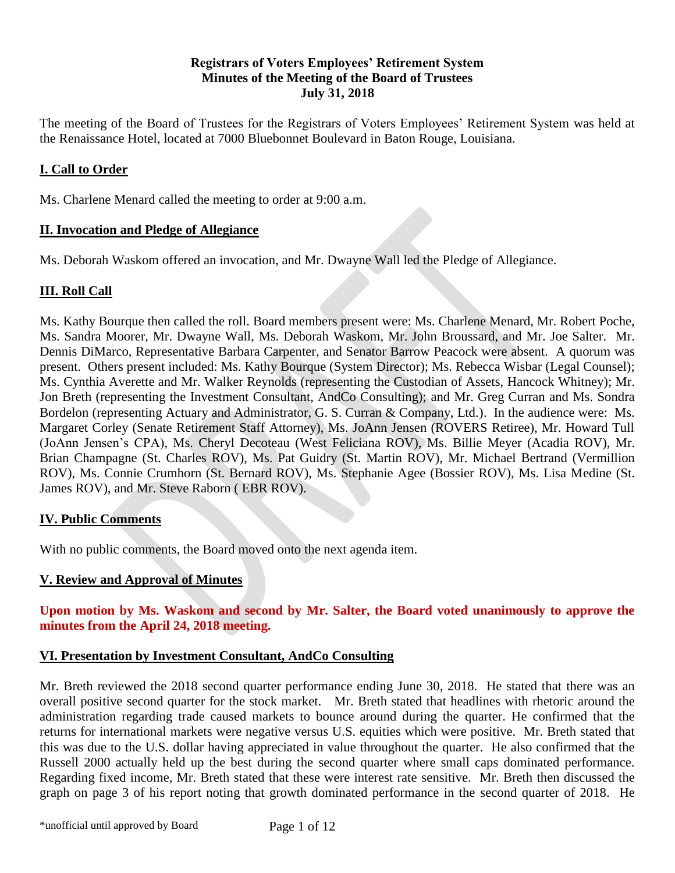### **Registrars of Voters Employees' Retirement System Minutes of the Meeting of the Board of Trustees July 31, 2018**

The meeting of the Board of Trustees for the Registrars of Voters Employees' Retirement System was held at the Renaissance Hotel, located at 7000 Bluebonnet Boulevard in Baton Rouge, Louisiana.

# **I. Call to Order**

Ms. Charlene Menard called the meeting to order at 9:00 a.m.

## **II. Invocation and Pledge of Allegiance**

Ms. Deborah Waskom offered an invocation, and Mr. Dwayne Wall led the Pledge of Allegiance.

# **III. Roll Call**

Ms. Kathy Bourque then called the roll. Board members present were: Ms. Charlene Menard, Mr. Robert Poche, Ms. Sandra Moorer, Mr. Dwayne Wall, Ms. Deborah Waskom, Mr. John Broussard, and Mr. Joe Salter. Mr. Dennis DiMarco, Representative Barbara Carpenter, and Senator Barrow Peacock were absent. A quorum was present. Others present included: Ms. Kathy Bourque (System Director); Ms. Rebecca Wisbar (Legal Counsel); Ms. Cynthia Averette and Mr. Walker Reynolds (representing the Custodian of Assets, Hancock Whitney); Mr. Jon Breth (representing the Investment Consultant, AndCo Consulting); and Mr. Greg Curran and Ms. Sondra Bordelon (representing Actuary and Administrator, G. S. Curran & Company, Ltd.). In the audience were: Ms. Margaret Corley (Senate Retirement Staff Attorney), Ms. JoAnn Jensen (ROVERS Retiree), Mr. Howard Tull (JoAnn Jensen's CPA), Ms. Cheryl Decoteau (West Feliciana ROV), Ms. Billie Meyer (Acadia ROV), Mr. Brian Champagne (St. Charles ROV), Ms. Pat Guidry (St. Martin ROV), Mr. Michael Bertrand (Vermillion ROV), Ms. Connie Crumhorn (St. Bernard ROV), Ms. Stephanie Agee (Bossier ROV), Ms. Lisa Medine (St. James ROV), and Mr. Steve Raborn ( EBR ROV).

### **IV. Public Comments**

With no public comments, the Board moved onto the next agenda item.

# **V. Review and Approval of Minutes**

**Upon motion by Ms. Waskom and second by Mr. Salter, the Board voted unanimously to approve the minutes from the April 24, 2018 meeting.**

### **VI. Presentation by Investment Consultant, AndCo Consulting**

Mr. Breth reviewed the 2018 second quarter performance ending June 30, 2018. He stated that there was an overall positive second quarter for the stock market. Mr. Breth stated that headlines with rhetoric around the administration regarding trade caused markets to bounce around during the quarter. He confirmed that the returns for international markets were negative versus U.S. equities which were positive. Mr. Breth stated that this was due to the U.S. dollar having appreciated in value throughout the quarter. He also confirmed that the Russell 2000 actually held up the best during the second quarter where small caps dominated performance. Regarding fixed income, Mr. Breth stated that these were interest rate sensitive. Mr. Breth then discussed the graph on page 3 of his report noting that growth dominated performance in the second quarter of 2018. He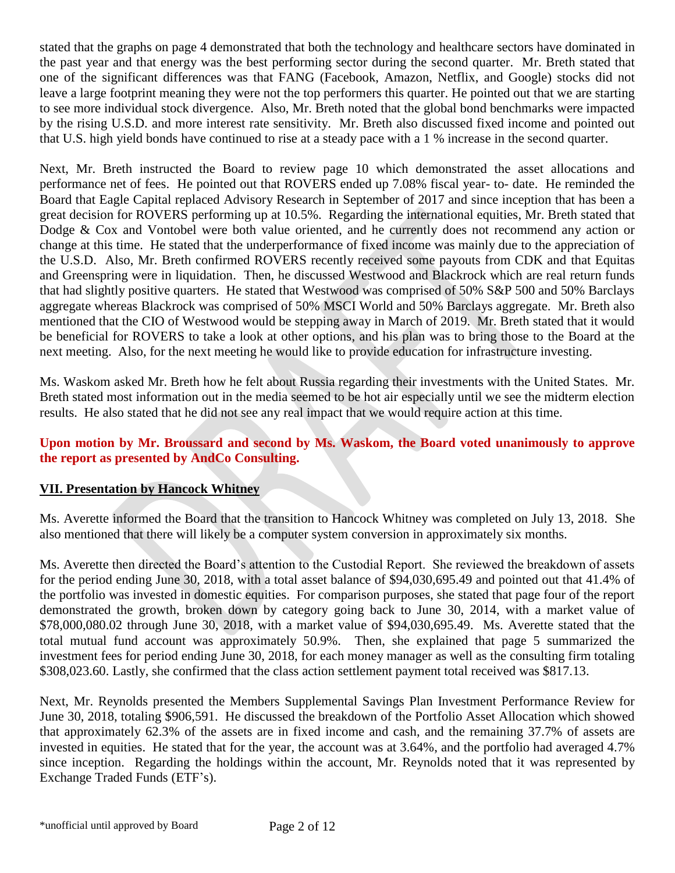stated that the graphs on page 4 demonstrated that both the technology and healthcare sectors have dominated in the past year and that energy was the best performing sector during the second quarter. Mr. Breth stated that one of the significant differences was that FANG (Facebook, Amazon, Netflix, and Google) stocks did not leave a large footprint meaning they were not the top performers this quarter. He pointed out that we are starting to see more individual stock divergence. Also, Mr. Breth noted that the global bond benchmarks were impacted by the rising U.S.D. and more interest rate sensitivity. Mr. Breth also discussed fixed income and pointed out that U.S. high yield bonds have continued to rise at a steady pace with a 1 % increase in the second quarter.

Next, Mr. Breth instructed the Board to review page 10 which demonstrated the asset allocations and performance net of fees. He pointed out that ROVERS ended up 7.08% fiscal year- to- date. He reminded the Board that Eagle Capital replaced Advisory Research in September of 2017 and since inception that has been a great decision for ROVERS performing up at 10.5%. Regarding the international equities, Mr. Breth stated that Dodge & Cox and Vontobel were both value oriented, and he currently does not recommend any action or change at this time. He stated that the underperformance of fixed income was mainly due to the appreciation of the U.S.D. Also, Mr. Breth confirmed ROVERS recently received some payouts from CDK and that Equitas and Greenspring were in liquidation. Then, he discussed Westwood and Blackrock which are real return funds that had slightly positive quarters. He stated that Westwood was comprised of 50% S&P 500 and 50% Barclays aggregate whereas Blackrock was comprised of 50% MSCI World and 50% Barclays aggregate. Mr. Breth also mentioned that the CIO of Westwood would be stepping away in March of 2019. Mr. Breth stated that it would be beneficial for ROVERS to take a look at other options, and his plan was to bring those to the Board at the next meeting. Also, for the next meeting he would like to provide education for infrastructure investing.

Ms. Waskom asked Mr. Breth how he felt about Russia regarding their investments with the United States. Mr. Breth stated most information out in the media seemed to be hot air especially until we see the midterm election results. He also stated that he did not see any real impact that we would require action at this time.

## **Upon motion by Mr. Broussard and second by Ms. Waskom, the Board voted unanimously to approve the report as presented by AndCo Consulting.**

# **VII. Presentation by Hancock Whitney**

Ms. Averette informed the Board that the transition to Hancock Whitney was completed on July 13, 2018. She also mentioned that there will likely be a computer system conversion in approximately six months.

Ms. Averette then directed the Board's attention to the Custodial Report. She reviewed the breakdown of assets for the period ending June 30, 2018, with a total asset balance of \$94,030,695.49 and pointed out that 41.4% of the portfolio was invested in domestic equities. For comparison purposes, she stated that page four of the report demonstrated the growth, broken down by category going back to June 30, 2014, with a market value of \$78,000,080.02 through June 30, 2018, with a market value of \$94,030,695.49. Ms. Averette stated that the total mutual fund account was approximately 50.9%. Then, she explained that page 5 summarized the investment fees for period ending June 30, 2018, for each money manager as well as the consulting firm totaling \$308,023.60. Lastly, she confirmed that the class action settlement payment total received was \$817.13.

Next, Mr. Reynolds presented the Members Supplemental Savings Plan Investment Performance Review for June 30, 2018, totaling \$906,591. He discussed the breakdown of the Portfolio Asset Allocation which showed that approximately 62.3% of the assets are in fixed income and cash, and the remaining 37.7% of assets are invested in equities. He stated that for the year, the account was at 3.64%, and the portfolio had averaged 4.7% since inception. Regarding the holdings within the account, Mr. Reynolds noted that it was represented by Exchange Traded Funds (ETF's).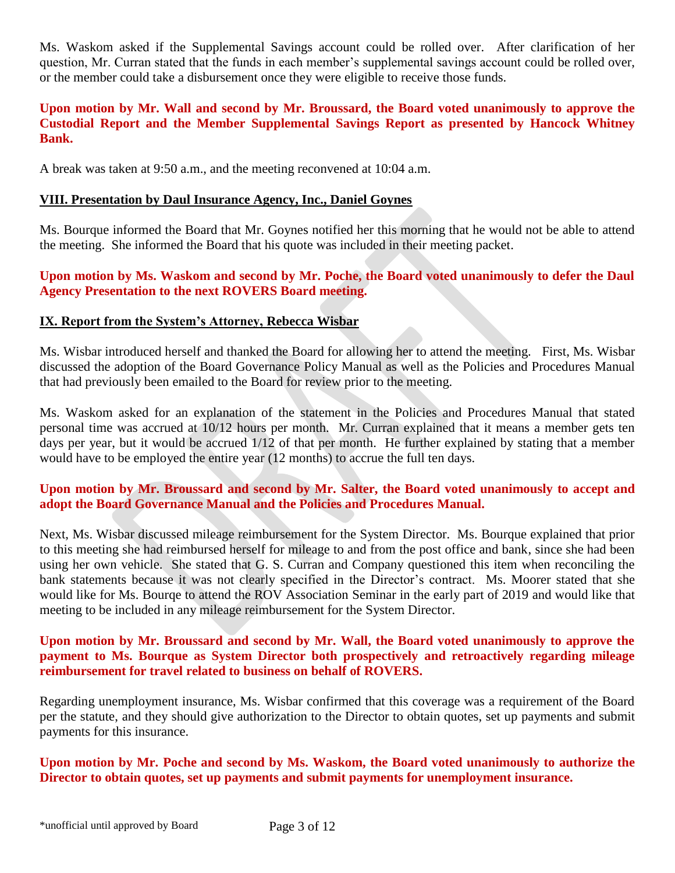Ms. Waskom asked if the Supplemental Savings account could be rolled over. After clarification of her question, Mr. Curran stated that the funds in each member's supplemental savings account could be rolled over, or the member could take a disbursement once they were eligible to receive those funds.

### **Upon motion by Mr. Wall and second by Mr. Broussard, the Board voted unanimously to approve the Custodial Report and the Member Supplemental Savings Report as presented by Hancock Whitney Bank.**

A break was taken at 9:50 a.m., and the meeting reconvened at 10:04 a.m.

#### **VIII. Presentation by Daul Insurance Agency, Inc., Daniel Goynes**

Ms. Bourque informed the Board that Mr. Goynes notified her this morning that he would not be able to attend the meeting. She informed the Board that his quote was included in their meeting packet.

### **Upon motion by Ms. Waskom and second by Mr. Poche, the Board voted unanimously to defer the Daul Agency Presentation to the next ROVERS Board meeting.**

### **IX. Report from the System's Attorney, Rebecca Wisbar**

Ms. Wisbar introduced herself and thanked the Board for allowing her to attend the meeting. First, Ms. Wisbar discussed the adoption of the Board Governance Policy Manual as well as the Policies and Procedures Manual that had previously been emailed to the Board for review prior to the meeting.

Ms. Waskom asked for an explanation of the statement in the Policies and Procedures Manual that stated personal time was accrued at 10/12 hours per month. Mr. Curran explained that it means a member gets ten days per year, but it would be accrued  $1/12$  of that per month. He further explained by stating that a member would have to be employed the entire year (12 months) to accrue the full ten days.

### **Upon motion by Mr. Broussard and second by Mr. Salter, the Board voted unanimously to accept and adopt the Board Governance Manual and the Policies and Procedures Manual.**

Next, Ms. Wisbar discussed mileage reimbursement for the System Director. Ms. Bourque explained that prior to this meeting she had reimbursed herself for mileage to and from the post office and bank, since she had been using her own vehicle. She stated that G. S. Curran and Company questioned this item when reconciling the bank statements because it was not clearly specified in the Director's contract. Ms. Moorer stated that she would like for Ms. Bourqe to attend the ROV Association Seminar in the early part of 2019 and would like that meeting to be included in any mileage reimbursement for the System Director.

#### **Upon motion by Mr. Broussard and second by Mr. Wall, the Board voted unanimously to approve the payment to Ms. Bourque as System Director both prospectively and retroactively regarding mileage reimbursement for travel related to business on behalf of ROVERS.**

Regarding unemployment insurance, Ms. Wisbar confirmed that this coverage was a requirement of the Board per the statute, and they should give authorization to the Director to obtain quotes, set up payments and submit payments for this insurance.

#### **Upon motion by Mr. Poche and second by Ms. Waskom, the Board voted unanimously to authorize the Director to obtain quotes, set up payments and submit payments for unemployment insurance.**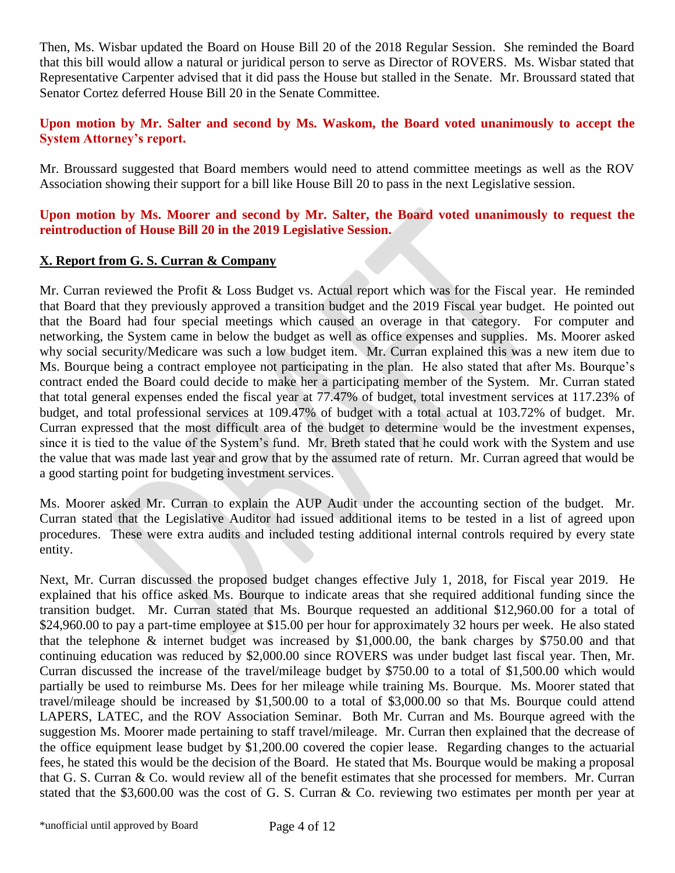Then, Ms. Wisbar updated the Board on House Bill 20 of the 2018 Regular Session. She reminded the Board that this bill would allow a natural or juridical person to serve as Director of ROVERS. Ms. Wisbar stated that Representative Carpenter advised that it did pass the House but stalled in the Senate. Mr. Broussard stated that Senator Cortez deferred House Bill 20 in the Senate Committee.

### **Upon motion by Mr. Salter and second by Ms. Waskom, the Board voted unanimously to accept the System Attorney's report.**

Mr. Broussard suggested that Board members would need to attend committee meetings as well as the ROV Association showing their support for a bill like House Bill 20 to pass in the next Legislative session.

### **Upon motion by Ms. Moorer and second by Mr. Salter, the Board voted unanimously to request the reintroduction of House Bill 20 in the 2019 Legislative Session.**

## **X. Report from G. S. Curran & Company**

Mr. Curran reviewed the Profit & Loss Budget vs. Actual report which was for the Fiscal year. He reminded that Board that they previously approved a transition budget and the 2019 Fiscal year budget. He pointed out that the Board had four special meetings which caused an overage in that category. For computer and networking, the System came in below the budget as well as office expenses and supplies. Ms. Moorer asked why social security/Medicare was such a low budget item. Mr. Curran explained this was a new item due to Ms. Bourque being a contract employee not participating in the plan. He also stated that after Ms. Bourque's contract ended the Board could decide to make her a participating member of the System. Mr. Curran stated that total general expenses ended the fiscal year at 77.47% of budget, total investment services at 117.23% of budget, and total professional services at 109.47% of budget with a total actual at 103.72% of budget. Mr. Curran expressed that the most difficult area of the budget to determine would be the investment expenses, since it is tied to the value of the System's fund. Mr. Breth stated that he could work with the System and use the value that was made last year and grow that by the assumed rate of return. Mr. Curran agreed that would be a good starting point for budgeting investment services.

Ms. Moorer asked Mr. Curran to explain the AUP Audit under the accounting section of the budget. Mr. Curran stated that the Legislative Auditor had issued additional items to be tested in a list of agreed upon procedures. These were extra audits and included testing additional internal controls required by every state entity.

Next, Mr. Curran discussed the proposed budget changes effective July 1, 2018, for Fiscal year 2019. He explained that his office asked Ms. Bourque to indicate areas that she required additional funding since the transition budget. Mr. Curran stated that Ms. Bourque requested an additional \$12,960.00 for a total of \$24,960.00 to pay a part-time employee at \$15.00 per hour for approximately 32 hours per week. He also stated that the telephone & internet budget was increased by \$1,000.00, the bank charges by \$750.00 and that continuing education was reduced by \$2,000.00 since ROVERS was under budget last fiscal year. Then, Mr. Curran discussed the increase of the travel/mileage budget by \$750.00 to a total of \$1,500.00 which would partially be used to reimburse Ms. Dees for her mileage while training Ms. Bourque. Ms. Moorer stated that travel/mileage should be increased by \$1,500.00 to a total of \$3,000.00 so that Ms. Bourque could attend LAPERS, LATEC, and the ROV Association Seminar. Both Mr. Curran and Ms. Bourque agreed with the suggestion Ms. Moorer made pertaining to staff travel/mileage. Mr. Curran then explained that the decrease of the office equipment lease budget by \$1,200.00 covered the copier lease. Regarding changes to the actuarial fees, he stated this would be the decision of the Board. He stated that Ms. Bourque would be making a proposal that G. S. Curran & Co. would review all of the benefit estimates that she processed for members. Mr. Curran stated that the \$3,600.00 was the cost of G. S. Curran & Co. reviewing two estimates per month per year at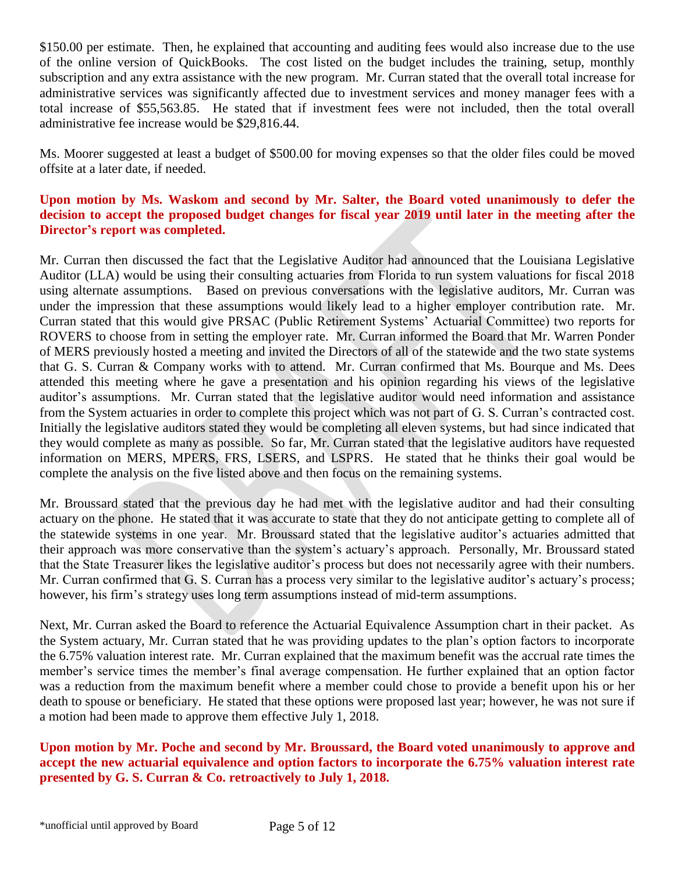\$150.00 per estimate. Then, he explained that accounting and auditing fees would also increase due to the use of the online version of QuickBooks. The cost listed on the budget includes the training, setup, monthly subscription and any extra assistance with the new program. Mr. Curran stated that the overall total increase for administrative services was significantly affected due to investment services and money manager fees with a total increase of \$55,563.85. He stated that if investment fees were not included, then the total overall administrative fee increase would be \$29,816.44.

Ms. Moorer suggested at least a budget of \$500.00 for moving expenses so that the older files could be moved offsite at a later date, if needed.

### **Upon motion by Ms. Waskom and second by Mr. Salter, the Board voted unanimously to defer the decision to accept the proposed budget changes for fiscal year 2019 until later in the meeting after the Director's report was completed.**

Mr. Curran then discussed the fact that the Legislative Auditor had announced that the Louisiana Legislative Auditor (LLA) would be using their consulting actuaries from Florida to run system valuations for fiscal 2018 using alternate assumptions. Based on previous conversations with the legislative auditors, Mr. Curran was under the impression that these assumptions would likely lead to a higher employer contribution rate. Mr. Curran stated that this would give PRSAC (Public Retirement Systems' Actuarial Committee) two reports for ROVERS to choose from in setting the employer rate. Mr. Curran informed the Board that Mr. Warren Ponder of MERS previously hosted a meeting and invited the Directors of all of the statewide and the two state systems that G. S. Curran & Company works with to attend. Mr. Curran confirmed that Ms. Bourque and Ms. Dees attended this meeting where he gave a presentation and his opinion regarding his views of the legislative auditor's assumptions. Mr. Curran stated that the legislative auditor would need information and assistance from the System actuaries in order to complete this project which was not part of G. S. Curran's contracted cost. Initially the legislative auditors stated they would be completing all eleven systems, but had since indicated that they would complete as many as possible. So far, Mr. Curran stated that the legislative auditors have requested information on MERS, MPERS, FRS, LSERS, and LSPRS. He stated that he thinks their goal would be complete the analysis on the five listed above and then focus on the remaining systems.

Mr. Broussard stated that the previous day he had met with the legislative auditor and had their consulting actuary on the phone. He stated that it was accurate to state that they do not anticipate getting to complete all of the statewide systems in one year. Mr. Broussard stated that the legislative auditor's actuaries admitted that their approach was more conservative than the system's actuary's approach. Personally, Mr. Broussard stated that the State Treasurer likes the legislative auditor's process but does not necessarily agree with their numbers. Mr. Curran confirmed that G. S. Curran has a process very similar to the legislative auditor's actuary's process; however, his firm's strategy uses long term assumptions instead of mid-term assumptions.

Next, Mr. Curran asked the Board to reference the Actuarial Equivalence Assumption chart in their packet. As the System actuary, Mr. Curran stated that he was providing updates to the plan's option factors to incorporate the 6.75% valuation interest rate. Mr. Curran explained that the maximum benefit was the accrual rate times the member's service times the member's final average compensation. He further explained that an option factor was a reduction from the maximum benefit where a member could chose to provide a benefit upon his or her death to spouse or beneficiary. He stated that these options were proposed last year; however, he was not sure if a motion had been made to approve them effective July 1, 2018.

**Upon motion by Mr. Poche and second by Mr. Broussard, the Board voted unanimously to approve and accept the new actuarial equivalence and option factors to incorporate the 6.75% valuation interest rate presented by G. S. Curran & Co. retroactively to July 1, 2018.**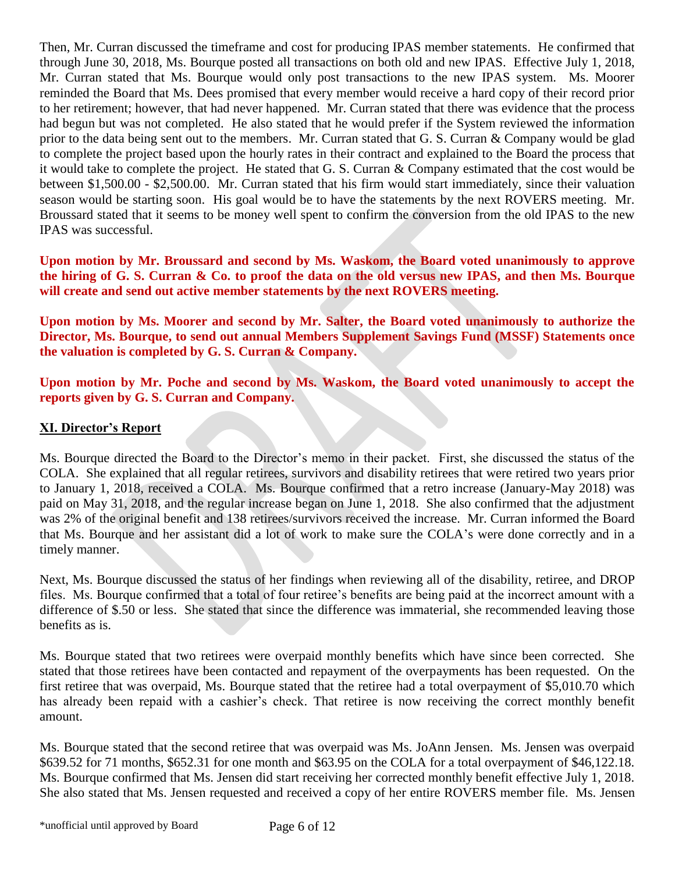Then, Mr. Curran discussed the timeframe and cost for producing IPAS member statements. He confirmed that through June 30, 2018, Ms. Bourque posted all transactions on both old and new IPAS. Effective July 1, 2018, Mr. Curran stated that Ms. Bourque would only post transactions to the new IPAS system. Ms. Moorer reminded the Board that Ms. Dees promised that every member would receive a hard copy of their record prior to her retirement; however, that had never happened. Mr. Curran stated that there was evidence that the process had begun but was not completed. He also stated that he would prefer if the System reviewed the information prior to the data being sent out to the members. Mr. Curran stated that G. S. Curran & Company would be glad to complete the project based upon the hourly rates in their contract and explained to the Board the process that it would take to complete the project. He stated that G. S. Curran & Company estimated that the cost would be between \$1,500.00 - \$2,500.00. Mr. Curran stated that his firm would start immediately, since their valuation season would be starting soon. His goal would be to have the statements by the next ROVERS meeting. Mr. Broussard stated that it seems to be money well spent to confirm the conversion from the old IPAS to the new IPAS was successful.

**Upon motion by Mr. Broussard and second by Ms. Waskom, the Board voted unanimously to approve the hiring of G. S. Curran & Co. to proof the data on the old versus new IPAS, and then Ms. Bourque will create and send out active member statements by the next ROVERS meeting.**

**Upon motion by Ms. Moorer and second by Mr. Salter, the Board voted unanimously to authorize the Director, Ms. Bourque, to send out annual Members Supplement Savings Fund (MSSF) Statements once the valuation is completed by G. S. Curran & Company.**

**Upon motion by Mr. Poche and second by Ms. Waskom, the Board voted unanimously to accept the reports given by G. S. Curran and Company.**

## **XI. Director's Report**

Ms. Bourque directed the Board to the Director's memo in their packet. First, she discussed the status of the COLA. She explained that all regular retirees, survivors and disability retirees that were retired two years prior to January 1, 2018, received a COLA. Ms. Bourque confirmed that a retro increase (January-May 2018) was paid on May 31, 2018, and the regular increase began on June 1, 2018. She also confirmed that the adjustment was 2% of the original benefit and 138 retirees/survivors received the increase. Mr. Curran informed the Board that Ms. Bourque and her assistant did a lot of work to make sure the COLA's were done correctly and in a timely manner.

Next, Ms. Bourque discussed the status of her findings when reviewing all of the disability, retiree, and DROP files. Ms. Bourque confirmed that a total of four retiree's benefits are being paid at the incorrect amount with a difference of \$.50 or less. She stated that since the difference was immaterial, she recommended leaving those benefits as is.

Ms. Bourque stated that two retirees were overpaid monthly benefits which have since been corrected. She stated that those retirees have been contacted and repayment of the overpayments has been requested. On the first retiree that was overpaid, Ms. Bourque stated that the retiree had a total overpayment of \$5,010.70 which has already been repaid with a cashier's check. That retiree is now receiving the correct monthly benefit amount.

Ms. Bourque stated that the second retiree that was overpaid was Ms. JoAnn Jensen. Ms. Jensen was overpaid \$639.52 for 71 months, \$652.31 for one month and \$63.95 on the COLA for a total overpayment of \$46,122.18. Ms. Bourque confirmed that Ms. Jensen did start receiving her corrected monthly benefit effective July 1, 2018. She also stated that Ms. Jensen requested and received a copy of her entire ROVERS member file. Ms. Jensen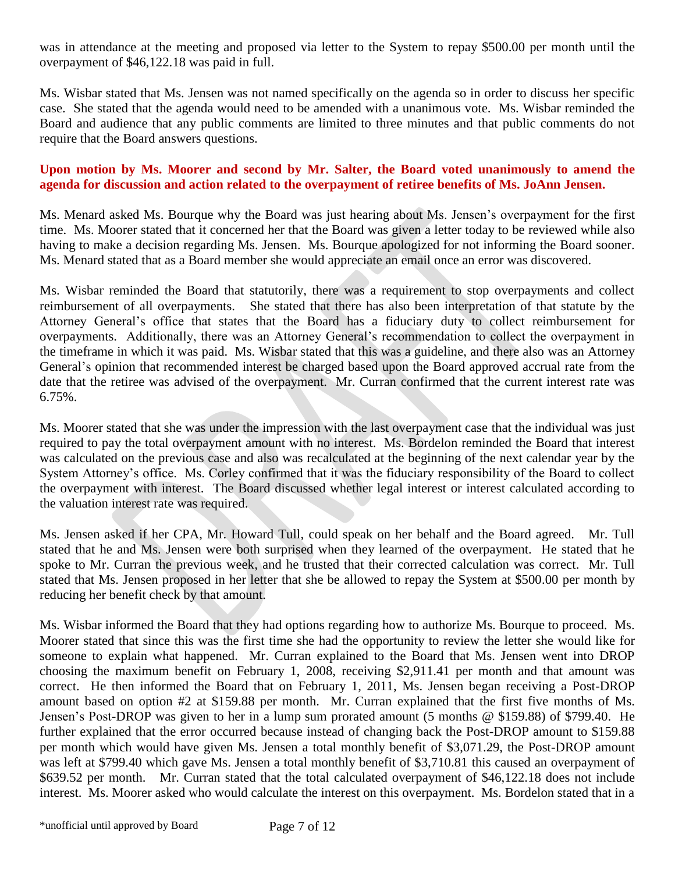was in attendance at the meeting and proposed via letter to the System to repay \$500.00 per month until the overpayment of \$46,122.18 was paid in full.

Ms. Wisbar stated that Ms. Jensen was not named specifically on the agenda so in order to discuss her specific case. She stated that the agenda would need to be amended with a unanimous vote. Ms. Wisbar reminded the Board and audience that any public comments are limited to three minutes and that public comments do not require that the Board answers questions.

#### **Upon motion by Ms. Moorer and second by Mr. Salter, the Board voted unanimously to amend the agenda for discussion and action related to the overpayment of retiree benefits of Ms. JoAnn Jensen.**

Ms. Menard asked Ms. Bourque why the Board was just hearing about Ms. Jensen's overpayment for the first time. Ms. Moorer stated that it concerned her that the Board was given a letter today to be reviewed while also having to make a decision regarding Ms. Jensen. Ms. Bourque apologized for not informing the Board sooner. Ms. Menard stated that as a Board member she would appreciate an email once an error was discovered.

Ms. Wisbar reminded the Board that statutorily, there was a requirement to stop overpayments and collect reimbursement of all overpayments. She stated that there has also been interpretation of that statute by the Attorney General's office that states that the Board has a fiduciary duty to collect reimbursement for overpayments. Additionally, there was an Attorney General's recommendation to collect the overpayment in the timeframe in which it was paid. Ms. Wisbar stated that this was a guideline, and there also was an Attorney General's opinion that recommended interest be charged based upon the Board approved accrual rate from the date that the retiree was advised of the overpayment. Mr. Curran confirmed that the current interest rate was 6.75%.

Ms. Moorer stated that she was under the impression with the last overpayment case that the individual was just required to pay the total overpayment amount with no interest. Ms. Bordelon reminded the Board that interest was calculated on the previous case and also was recalculated at the beginning of the next calendar year by the System Attorney's office. Ms. Corley confirmed that it was the fiduciary responsibility of the Board to collect the overpayment with interest. The Board discussed whether legal interest or interest calculated according to the valuation interest rate was required.

Ms. Jensen asked if her CPA, Mr. Howard Tull, could speak on her behalf and the Board agreed. Mr. Tull stated that he and Ms. Jensen were both surprised when they learned of the overpayment. He stated that he spoke to Mr. Curran the previous week, and he trusted that their corrected calculation was correct. Mr. Tull stated that Ms. Jensen proposed in her letter that she be allowed to repay the System at \$500.00 per month by reducing her benefit check by that amount.

Ms. Wisbar informed the Board that they had options regarding how to authorize Ms. Bourque to proceed. Ms. Moorer stated that since this was the first time she had the opportunity to review the letter she would like for someone to explain what happened. Mr. Curran explained to the Board that Ms. Jensen went into DROP choosing the maximum benefit on February 1, 2008, receiving \$2,911.41 per month and that amount was correct. He then informed the Board that on February 1, 2011, Ms. Jensen began receiving a Post-DROP amount based on option #2 at \$159.88 per month. Mr. Curran explained that the first five months of Ms. Jensen's Post-DROP was given to her in a lump sum prorated amount (5 months @ \$159.88) of \$799.40. He further explained that the error occurred because instead of changing back the Post-DROP amount to \$159.88 per month which would have given Ms. Jensen a total monthly benefit of \$3,071.29, the Post-DROP amount was left at \$799.40 which gave Ms. Jensen a total monthly benefit of \$3,710.81 this caused an overpayment of \$639.52 per month. Mr. Curran stated that the total calculated overpayment of \$46,122.18 does not include interest. Ms. Moorer asked who would calculate the interest on this overpayment. Ms. Bordelon stated that in a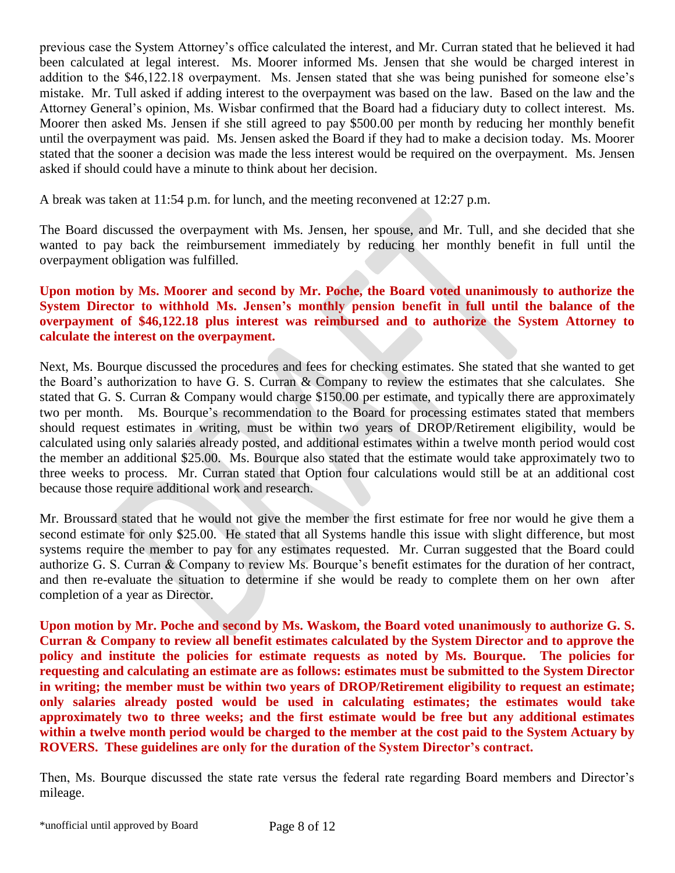previous case the System Attorney's office calculated the interest, and Mr. Curran stated that he believed it had been calculated at legal interest. Ms. Moorer informed Ms. Jensen that she would be charged interest in addition to the \$46,122.18 overpayment. Ms. Jensen stated that she was being punished for someone else's mistake. Mr. Tull asked if adding interest to the overpayment was based on the law. Based on the law and the Attorney General's opinion, Ms. Wisbar confirmed that the Board had a fiduciary duty to collect interest. Ms. Moorer then asked Ms. Jensen if she still agreed to pay \$500.00 per month by reducing her monthly benefit until the overpayment was paid. Ms. Jensen asked the Board if they had to make a decision today. Ms. Moorer stated that the sooner a decision was made the less interest would be required on the overpayment. Ms. Jensen asked if should could have a minute to think about her decision.

A break was taken at 11:54 p.m. for lunch, and the meeting reconvened at 12:27 p.m.

The Board discussed the overpayment with Ms. Jensen, her spouse, and Mr. Tull, and she decided that she wanted to pay back the reimbursement immediately by reducing her monthly benefit in full until the overpayment obligation was fulfilled.

### **Upon motion by Ms. Moorer and second by Mr. Poche, the Board voted unanimously to authorize the System Director to withhold Ms. Jensen's monthly pension benefit in full until the balance of the overpayment of \$46,122.18 plus interest was reimbursed and to authorize the System Attorney to calculate the interest on the overpayment.**

Next, Ms. Bourque discussed the procedures and fees for checking estimates. She stated that she wanted to get the Board's authorization to have G. S. Curran & Company to review the estimates that she calculates. She stated that G. S. Curran & Company would charge \$150.00 per estimate, and typically there are approximately two per month. Ms. Bourque's recommendation to the Board for processing estimates stated that members should request estimates in writing, must be within two years of DROP/Retirement eligibility, would be calculated using only salaries already posted, and additional estimates within a twelve month period would cost the member an additional \$25.00. Ms. Bourque also stated that the estimate would take approximately two to three weeks to process. Mr. Curran stated that Option four calculations would still be at an additional cost because those require additional work and research.

Mr. Broussard stated that he would not give the member the first estimate for free nor would he give them a second estimate for only \$25.00. He stated that all Systems handle this issue with slight difference, but most systems require the member to pay for any estimates requested. Mr. Curran suggested that the Board could authorize G. S. Curran & Company to review Ms. Bourque's benefit estimates for the duration of her contract, and then re-evaluate the situation to determine if she would be ready to complete them on her own after completion of a year as Director.

**Upon motion by Mr. Poche and second by Ms. Waskom, the Board voted unanimously to authorize G. S. Curran & Company to review all benefit estimates calculated by the System Director and to approve the policy and institute the policies for estimate requests as noted by Ms. Bourque. The policies for requesting and calculating an estimate are as follows: estimates must be submitted to the System Director in writing; the member must be within two years of DROP/Retirement eligibility to request an estimate; only salaries already posted would be used in calculating estimates; the estimates would take approximately two to three weeks; and the first estimate would be free but any additional estimates within a twelve month period would be charged to the member at the cost paid to the System Actuary by ROVERS. These guidelines are only for the duration of the System Director's contract.**

Then, Ms. Bourque discussed the state rate versus the federal rate regarding Board members and Director's mileage.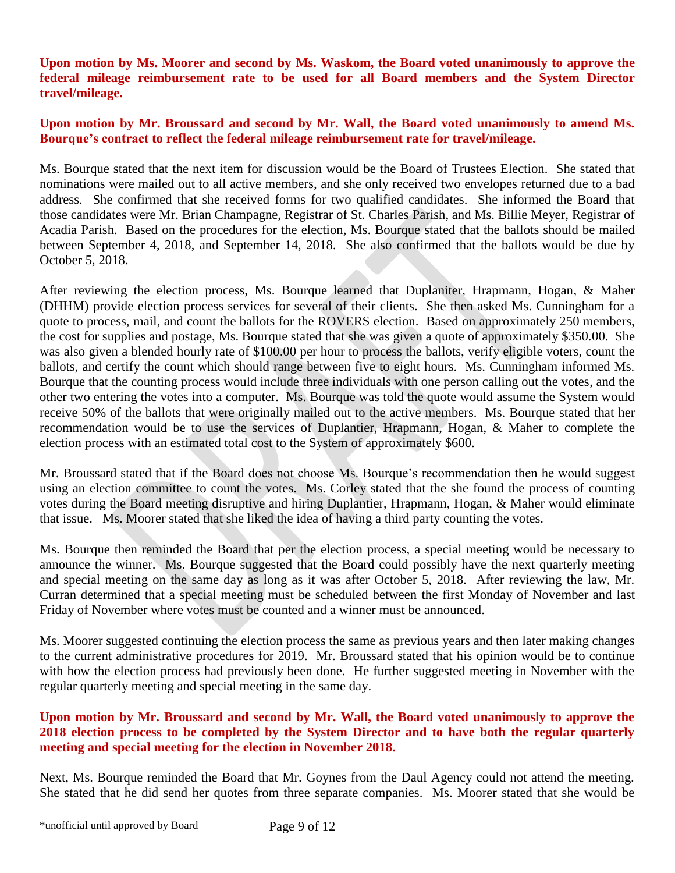**Upon motion by Ms. Moorer and second by Ms. Waskom, the Board voted unanimously to approve the federal mileage reimbursement rate to be used for all Board members and the System Director travel/mileage.** 

### **Upon motion by Mr. Broussard and second by Mr. Wall, the Board voted unanimously to amend Ms. Bourque's contract to reflect the federal mileage reimbursement rate for travel/mileage.**

Ms. Bourque stated that the next item for discussion would be the Board of Trustees Election. She stated that nominations were mailed out to all active members, and she only received two envelopes returned due to a bad address. She confirmed that she received forms for two qualified candidates. She informed the Board that those candidates were Mr. Brian Champagne, Registrar of St. Charles Parish, and Ms. Billie Meyer, Registrar of Acadia Parish. Based on the procedures for the election, Ms. Bourque stated that the ballots should be mailed between September 4, 2018, and September 14, 2018. She also confirmed that the ballots would be due by October 5, 2018.

After reviewing the election process, Ms. Bourque learned that Duplaniter, Hrapmann, Hogan, & Maher (DHHM) provide election process services for several of their clients. She then asked Ms. Cunningham for a quote to process, mail, and count the ballots for the ROVERS election. Based on approximately 250 members, the cost for supplies and postage, Ms. Bourque stated that she was given a quote of approximately \$350.00. She was also given a blended hourly rate of \$100.00 per hour to process the ballots, verify eligible voters, count the ballots, and certify the count which should range between five to eight hours. Ms. Cunningham informed Ms. Bourque that the counting process would include three individuals with one person calling out the votes, and the other two entering the votes into a computer. Ms. Bourque was told the quote would assume the System would receive 50% of the ballots that were originally mailed out to the active members. Ms. Bourque stated that her recommendation would be to use the services of Duplantier, Hrapmann, Hogan, & Maher to complete the election process with an estimated total cost to the System of approximately \$600.

Mr. Broussard stated that if the Board does not choose Ms. Bourque's recommendation then he would suggest using an election committee to count the votes. Ms. Corley stated that the she found the process of counting votes during the Board meeting disruptive and hiring Duplantier, Hrapmann, Hogan, & Maher would eliminate that issue. Ms. Moorer stated that she liked the idea of having a third party counting the votes.

Ms. Bourque then reminded the Board that per the election process, a special meeting would be necessary to announce the winner. Ms. Bourque suggested that the Board could possibly have the next quarterly meeting and special meeting on the same day as long as it was after October 5, 2018. After reviewing the law, Mr. Curran determined that a special meeting must be scheduled between the first Monday of November and last Friday of November where votes must be counted and a winner must be announced.

Ms. Moorer suggested continuing the election process the same as previous years and then later making changes to the current administrative procedures for 2019. Mr. Broussard stated that his opinion would be to continue with how the election process had previously been done. He further suggested meeting in November with the regular quarterly meeting and special meeting in the same day.

### **Upon motion by Mr. Broussard and second by Mr. Wall, the Board voted unanimously to approve the 2018 election process to be completed by the System Director and to have both the regular quarterly meeting and special meeting for the election in November 2018.**

Next, Ms. Bourque reminded the Board that Mr. Goynes from the Daul Agency could not attend the meeting. She stated that he did send her quotes from three separate companies. Ms. Moorer stated that she would be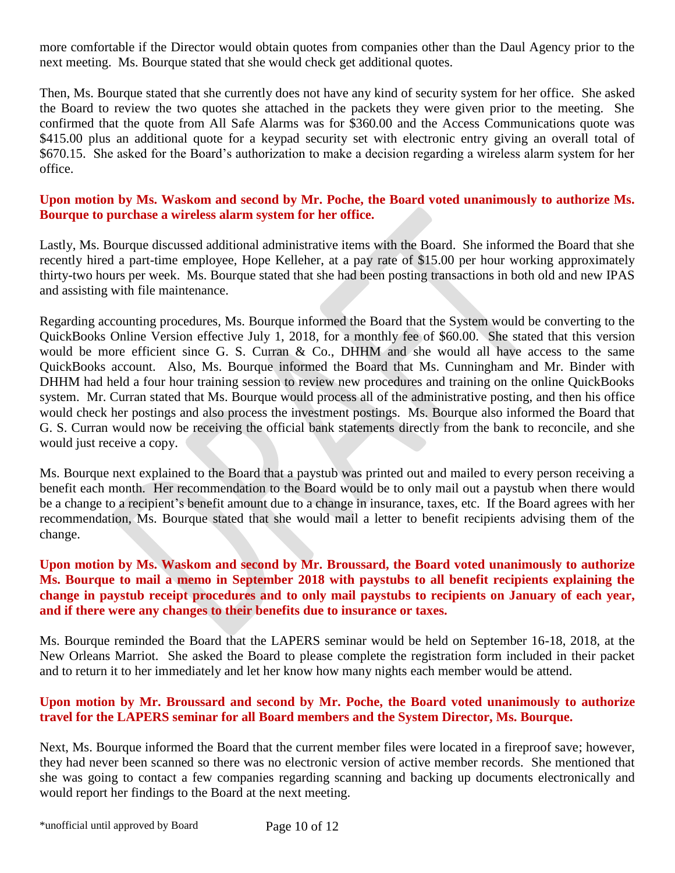more comfortable if the Director would obtain quotes from companies other than the Daul Agency prior to the next meeting. Ms. Bourque stated that she would check get additional quotes.

Then, Ms. Bourque stated that she currently does not have any kind of security system for her office. She asked the Board to review the two quotes she attached in the packets they were given prior to the meeting. She confirmed that the quote from All Safe Alarms was for \$360.00 and the Access Communications quote was \$415.00 plus an additional quote for a keypad security set with electronic entry giving an overall total of \$670.15. She asked for the Board's authorization to make a decision regarding a wireless alarm system for her office.

### **Upon motion by Ms. Waskom and second by Mr. Poche, the Board voted unanimously to authorize Ms. Bourque to purchase a wireless alarm system for her office.**

Lastly, Ms. Bourque discussed additional administrative items with the Board. She informed the Board that she recently hired a part-time employee, Hope Kelleher, at a pay rate of \$15.00 per hour working approximately thirty-two hours per week. Ms. Bourque stated that she had been posting transactions in both old and new IPAS and assisting with file maintenance.

Regarding accounting procedures, Ms. Bourque informed the Board that the System would be converting to the QuickBooks Online Version effective July 1, 2018, for a monthly fee of \$60.00. She stated that this version would be more efficient since G. S. Curran & Co., DHHM and she would all have access to the same QuickBooks account. Also, Ms. Bourque informed the Board that Ms. Cunningham and Mr. Binder with DHHM had held a four hour training session to review new procedures and training on the online QuickBooks system. Mr. Curran stated that Ms. Bourque would process all of the administrative posting, and then his office would check her postings and also process the investment postings. Ms. Bourque also informed the Board that G. S. Curran would now be receiving the official bank statements directly from the bank to reconcile, and she would just receive a copy.

Ms. Bourque next explained to the Board that a paystub was printed out and mailed to every person receiving a benefit each month. Her recommendation to the Board would be to only mail out a paystub when there would be a change to a recipient's benefit amount due to a change in insurance, taxes, etc. If the Board agrees with her recommendation, Ms. Bourque stated that she would mail a letter to benefit recipients advising them of the change.

### **Upon motion by Ms. Waskom and second by Mr. Broussard, the Board voted unanimously to authorize Ms. Bourque to mail a memo in September 2018 with paystubs to all benefit recipients explaining the change in paystub receipt procedures and to only mail paystubs to recipients on January of each year, and if there were any changes to their benefits due to insurance or taxes.**

Ms. Bourque reminded the Board that the LAPERS seminar would be held on September 16-18, 2018, at the New Orleans Marriot. She asked the Board to please complete the registration form included in their packet and to return it to her immediately and let her know how many nights each member would be attend.

### **Upon motion by Mr. Broussard and second by Mr. Poche, the Board voted unanimously to authorize travel for the LAPERS seminar for all Board members and the System Director, Ms. Bourque.**

Next, Ms. Bourque informed the Board that the current member files were located in a fireproof save; however, they had never been scanned so there was no electronic version of active member records. She mentioned that she was going to contact a few companies regarding scanning and backing up documents electronically and would report her findings to the Board at the next meeting.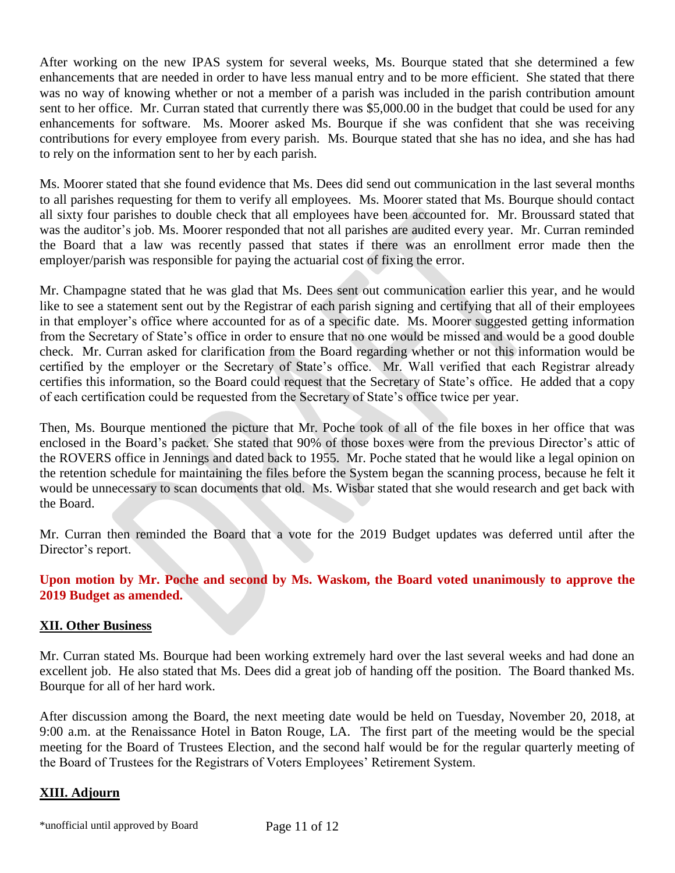After working on the new IPAS system for several weeks, Ms. Bourque stated that she determined a few enhancements that are needed in order to have less manual entry and to be more efficient. She stated that there was no way of knowing whether or not a member of a parish was included in the parish contribution amount sent to her office. Mr. Curran stated that currently there was \$5,000.00 in the budget that could be used for any enhancements for software. Ms. Moorer asked Ms. Bourque if she was confident that she was receiving contributions for every employee from every parish. Ms. Bourque stated that she has no idea, and she has had to rely on the information sent to her by each parish.

Ms. Moorer stated that she found evidence that Ms. Dees did send out communication in the last several months to all parishes requesting for them to verify all employees. Ms. Moorer stated that Ms. Bourque should contact all sixty four parishes to double check that all employees have been accounted for. Mr. Broussard stated that was the auditor's job. Ms. Moorer responded that not all parishes are audited every year. Mr. Curran reminded the Board that a law was recently passed that states if there was an enrollment error made then the employer/parish was responsible for paying the actuarial cost of fixing the error.

Mr. Champagne stated that he was glad that Ms. Dees sent out communication earlier this year, and he would like to see a statement sent out by the Registrar of each parish signing and certifying that all of their employees in that employer's office where accounted for as of a specific date. Ms. Moorer suggested getting information from the Secretary of State's office in order to ensure that no one would be missed and would be a good double check. Mr. Curran asked for clarification from the Board regarding whether or not this information would be certified by the employer or the Secretary of State's office. Mr. Wall verified that each Registrar already certifies this information, so the Board could request that the Secretary of State's office. He added that a copy of each certification could be requested from the Secretary of State's office twice per year.

Then, Ms. Bourque mentioned the picture that Mr. Poche took of all of the file boxes in her office that was enclosed in the Board's packet. She stated that 90% of those boxes were from the previous Director's attic of the ROVERS office in Jennings and dated back to 1955. Mr. Poche stated that he would like a legal opinion on the retention schedule for maintaining the files before the System began the scanning process, because he felt it would be unnecessary to scan documents that old. Ms. Wisbar stated that she would research and get back with the Board.

Mr. Curran then reminded the Board that a vote for the 2019 Budget updates was deferred until after the Director's report.

## **Upon motion by Mr. Poche and second by Ms. Waskom, the Board voted unanimously to approve the 2019 Budget as amended.**

# **XII. Other Business**

Mr. Curran stated Ms. Bourque had been working extremely hard over the last several weeks and had done an excellent job. He also stated that Ms. Dees did a great job of handing off the position. The Board thanked Ms. Bourque for all of her hard work.

After discussion among the Board, the next meeting date would be held on Tuesday, November 20, 2018, at 9:00 a.m. at the Renaissance Hotel in Baton Rouge, LA. The first part of the meeting would be the special meeting for the Board of Trustees Election, and the second half would be for the regular quarterly meeting of the Board of Trustees for the Registrars of Voters Employees' Retirement System.

# **XIII. Adjourn**